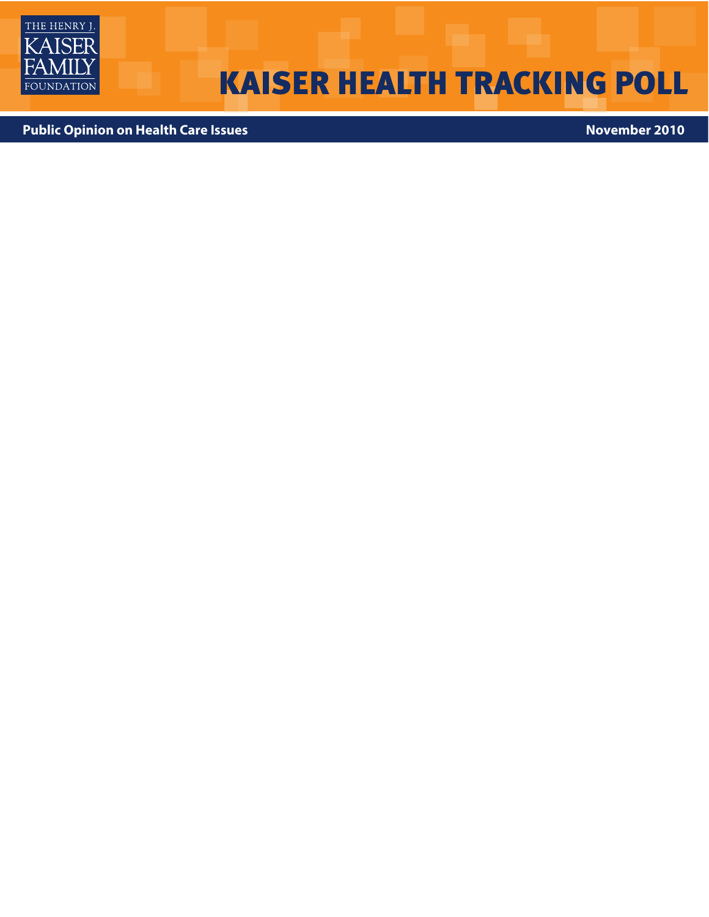

# **KAISER HEALTH TRACKING POLL**

**Public Opinion on Health Care Issues**<br> **Public Opinion on Health Care Issues**<br> **Public Opinion on Health Care Issues**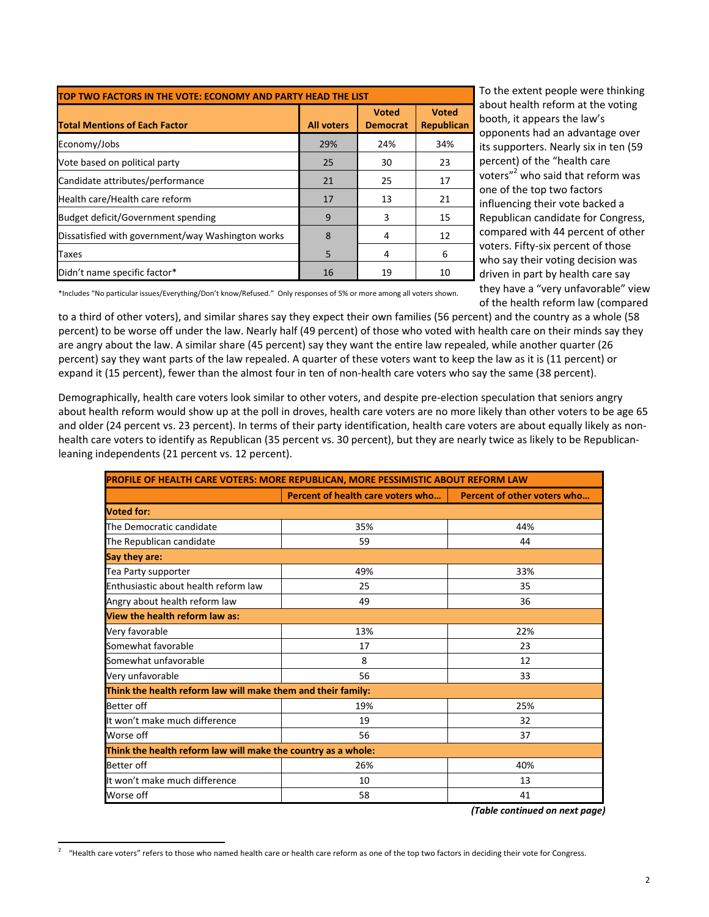| TOP TWO FACTORS IN THE VOTE: ECONOMY AND PARTY HEAD THE LIST |                   |                                 |                                   |  |
|--------------------------------------------------------------|-------------------|---------------------------------|-----------------------------------|--|
| <b>Total Mentions of Each Factor</b>                         | <b>All voters</b> | <b>Voted</b><br><b>Democrat</b> | <b>Voted</b><br><b>Republican</b> |  |
| Economy/Jobs                                                 | 29%               | 24%                             | 34%                               |  |
| Vote based on political party                                | 25                | 30                              | 23                                |  |
| Candidate attributes/performance                             | 21                | 25                              | 17                                |  |
| Health care/Health care reform                               | 17                | 13                              | 21                                |  |
| <b>Budget deficit/Government spending</b>                    | 9                 | 3                               | 15                                |  |
| Dissatisfied with government/way Washington works            | 8                 | 4                               | 12                                |  |
| Taxes                                                        | 5                 | 4                               | 6                                 |  |
| Didn't name specific factor*                                 | 16                | 19                              | 10                                |  |

To the extent people were thinking about health reform at the voting booth, it appears the law's opponents had an advantage over its supporters. Nearly six in ten (59 percent) of the "health care voters"2 who said that reform was one of the top two factors influencing their vote backed a Republican candidate for Congress, compared with 44 percent of other voters. Fifty‐six percent of those who say their voting decision was driven in part by health care say they have a "very unfavorable" view of the health reform law (compared

\*Includes "No particular issues/Everything/Don't know/Refused." Only responses of 5% or more among all voters shown.

to a third of other voters), and similar shares say they expect their own families (56 percent) and the country as a whole (58 percent) to be worse off under the law. Nearly half (49 percent) of those who voted with health care on their minds say they are angry about the law. A similar share (45 percent) say they want the entire law repealed, while another quarter (26 percent) say they want parts of the law repealed. A quarter of these voters want to keep the law as it is (11 percent) or expand it (15 percent), fewer than the almost four in ten of non-health care voters who say the same (38 percent).

Demographically, health care voters look similar to other voters, and despite pre‐election speculation that seniors angry about health reform would show up at the poll in droves, health care voters are no more likely than other voters to be age 65 and older (24 percent vs. 23 percent). In terms of their party identification, health care voters are about equally likely as nonhealth care voters to identify as Republican (35 percent vs. 30 percent), but they are nearly twice as likely to be Republicanleaning independents (21 percent vs. 12 percent).

| PROFILE OF HEALTH CARE VOTERS: MORE REPUBLICAN, MORE PESSIMISTIC ABOUT REFORM LAW |                                                                      |     |  |  |  |
|-----------------------------------------------------------------------------------|----------------------------------------------------------------------|-----|--|--|--|
|                                                                                   | <b>Percent of health care voters who Percent of other voters who</b> |     |  |  |  |
| <b>Voted for:</b>                                                                 |                                                                      |     |  |  |  |
| The Democratic candidate                                                          | 35%                                                                  | 44% |  |  |  |
| The Republican candidate                                                          | 59                                                                   | 44  |  |  |  |
| Say they are:                                                                     |                                                                      |     |  |  |  |
| Tea Party supporter                                                               | 49%                                                                  | 33% |  |  |  |
| Enthusiastic about health reform law                                              | 25                                                                   | 35  |  |  |  |
| Angry about health reform law                                                     | 49                                                                   | 36  |  |  |  |
| View the health reform law as:                                                    |                                                                      |     |  |  |  |
| Very favorable                                                                    | 13%                                                                  | 22% |  |  |  |
| Somewhat favorable                                                                | 17                                                                   | 23  |  |  |  |
| Somewhat unfavorable                                                              | 8                                                                    | 12  |  |  |  |
| Very unfavorable                                                                  | 56                                                                   | 33  |  |  |  |
| Think the health reform law will make them and their family:                      |                                                                      |     |  |  |  |
| <b>Better</b> off                                                                 | 19%                                                                  | 25% |  |  |  |
| It won't make much difference                                                     | 19                                                                   | 32  |  |  |  |
| Worse off                                                                         | 56                                                                   | 37  |  |  |  |
| Think the health reform law will make the country as a whole:                     |                                                                      |     |  |  |  |
| <b>Better</b> off                                                                 | 26%                                                                  | 40% |  |  |  |
| It won't make much difference                                                     | 10                                                                   | 13  |  |  |  |
| Worse off                                                                         | 58                                                                   | 41  |  |  |  |

*(Table continued on next page)*

<sup>2</sup> "Health care voters" refers to those who named health care or health care reform as one of the top two factors in deciding their vote for Congress.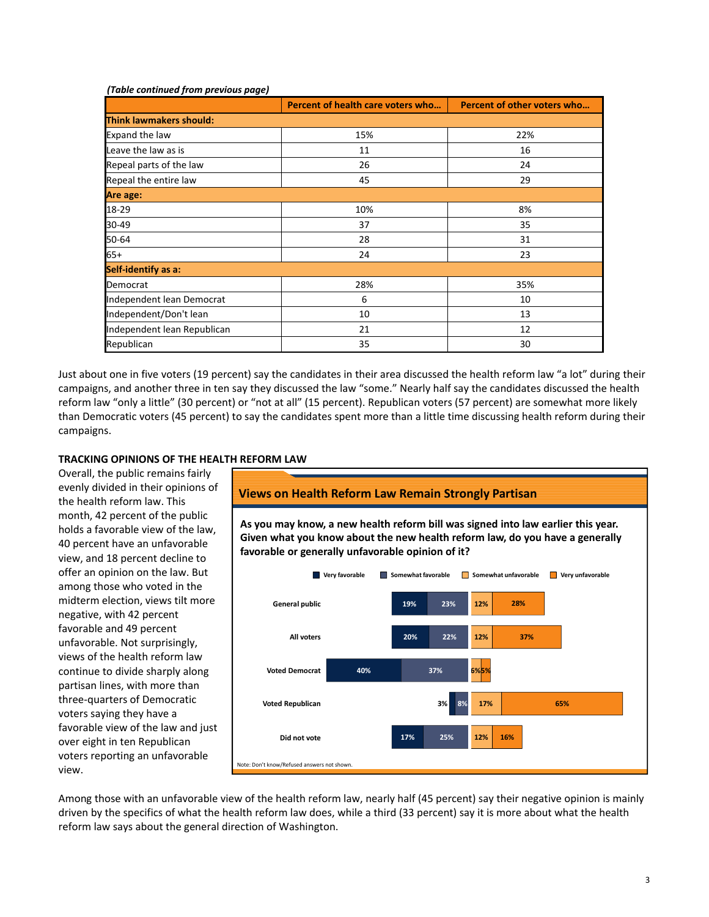### *(Table continued from previous page)*

|                                | Percent of health care voters who | Percent of other voters who |  |  |
|--------------------------------|-----------------------------------|-----------------------------|--|--|
| <b>Think lawmakers should:</b> |                                   |                             |  |  |
| Expand the law                 | 15%                               | 22%                         |  |  |
| Leave the law as is            | 11                                | 16                          |  |  |
| Repeal parts of the law        | 26                                | 24                          |  |  |
| Repeal the entire law          | 45                                | 29                          |  |  |
| Are age:                       |                                   |                             |  |  |
| 18-29                          | 10%                               | 8%                          |  |  |
| 30-49                          | 37                                | 35                          |  |  |
| 50-64                          | 28                                | 31                          |  |  |
| $65+$                          | 24                                | 23                          |  |  |
| Self-identify as a:            |                                   |                             |  |  |
| Democrat                       | 28%                               | 35%                         |  |  |
| Independent lean Democrat      | 6                                 | 10                          |  |  |
| Independent/Don't lean         | 10                                | 13                          |  |  |
| Independent lean Republican    | 21                                | 12                          |  |  |
| Republican                     | 35                                | 30                          |  |  |

Just about one in five voters (19 percent) say the candidates in their area discussed the health reform law "a lot" during their campaigns, and another three in ten say they discussed the law "some." Nearly half say the candidates discussed the health reform law "only a little" (30 percent) or "not at all" (15 percent). Republican voters (57 percent) are somewhat more likely than Democratic voters (45 percent) to say the candidates spent more than a little time discussing health reform during their campaigns.

# **TRACKING OPINIONS OF THE HEALTH REFORM LAW**

Overall, the public remains fairly evenly divided in their opinions of the health reform law. This month, 42 percent of the public holds a favorable view of the law, 40 percent have an unfavorable view, and 18 percent decline to offer an opinion on the law. But among those who voted in the midterm election, views tilt more negative, with 42 percent favorable and 49 percent unfavorable. Not surprisingly, views of the health reform law continue to divide sharply along partisan lines, with more than three‐quarters of Democratic voters saying they have a favorable view of the law and just over eight in ten Republican voters reporting an unfavorable view.



Among those with an unfavorable view of the health reform law, nearly half (45 percent) say their negative opinion is mainly driven by the specifics of what the health reform law does, while a third (33 percent) say it is more about what the health reform law says about the general direction of Washington.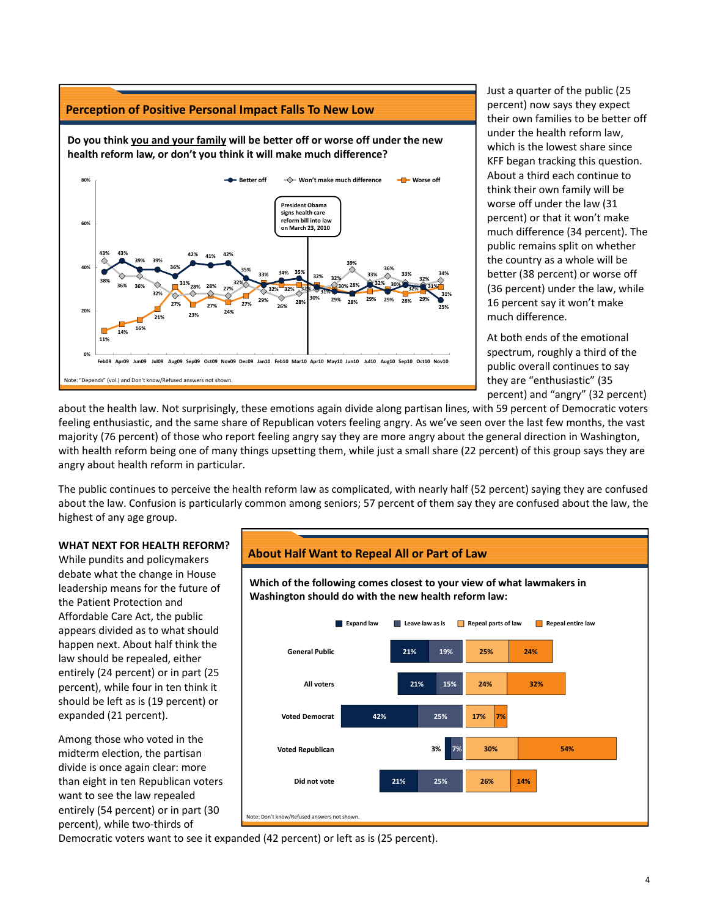

Just a quarter of the public (25 percent) now says they expect their own families to be better off under the health reform law, which is the lowest share since KFF began tracking this question. About a third each continue to think their own family will be worse off under the law (31 percent) or that it won't make much difference (34 percent). The public remains split on whether the country as a whole will be better (38 percent) or worse off (36 percent) under the law, while 16 percent say it won't make much difference.

At both ends of the emotional spectrum, roughly a third of the public overall continues to say they are "enthusiastic" (35 percent) and "angry" (32 percent)

about the health law. Not surprisingly, these emotions again divide along partisan lines, with 59 percent of Democratic voters feeling enthusiastic, and the same share of Republican voters feeling angry. As we've seen over the last few months, the vast majority (76 percent) of those who report feeling angry say they are more angry about the general direction in Washington, with health reform being one of many things upsetting them, while just a small share (22 percent) of this group says they are angry about health reform in particular.

The public continues to perceive the health reform law as complicated, with nearly half (52 percent) saying they are confused about the law. Confusion is particularly common among seniors; 57 percent of them say they are confused about the law, the highest of any age group.



While pundits and policymakers debate what the change in House leadership means for the future of the Patient Protection and Affordable Care Act, the public appears divided as to what should happen next. About half think the law should be repealed, either entirely (24 percent) or in part (25 percent), while four in ten think it should be left as is (19 percent) or expanded (21 percent).

Among those who voted in the midterm election, the partisan divide is once again clear: more than eight in ten Republican voters want to see the law repealed entirely (54 percent) or in part (30 percent), while two‐thirds of

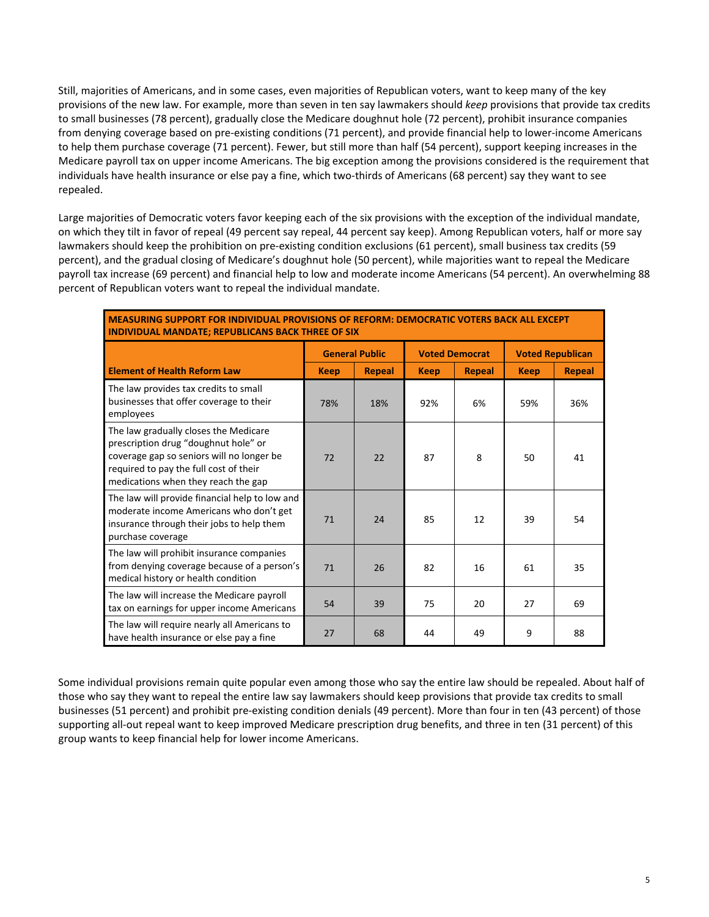Still, majorities of Americans, and in some cases, even majorities of Republican voters, want to keep many of the key provisions of the new law. For example, more than seven in ten say lawmakers should *keep* provisions that provide tax credits to small businesses (78 percent), gradually close the Medicare doughnut hole (72 percent), prohibit insurance companies from denying coverage based on pre-existing conditions (71 percent), and provide financial help to lower-income Americans to help them purchase coverage (71 percent). Fewer, but still more than half (54 percent), support keeping increases in the Medicare payroll tax on upper income Americans. The big exception among the provisions considered is the requirement that individuals have health insurance or else pay a fine, which two-thirds of Americans (68 percent) say they want to see repealed.

Large majorities of Democratic voters favor keeping each of the six provisions with the exception of the individual mandate, on which they tilt in favor of repeal (49 percent say repeal, 44 percent say keep). Among Republican voters, half or more say lawmakers should keep the prohibition on pre‐existing condition exclusions (61 percent), small business tax credits (59 percent), and the gradual closing of Medicare's doughnut hole (50 percent), while majorities want to repeal the Medicare payroll tax increase (69 percent) and financial help to low and moderate income Americans (54 percent). An overwhelming 88 percent of Republican voters want to repeal the individual mandate.

## **MEASURING SUPPORT FOR INDIVIDUAL PROVISIONS OF REFORM: DEMOCRATIC VOTERS BACK ALL EXCEPT INDIVIDUAL MANDATE; REPUBLICANS BACK THREE OF SIX**

|                                                                                                                                                                                                             | <b>General Public</b> |               | <b>Voted Democrat</b> |               | <b>Voted Republican</b> |               |
|-------------------------------------------------------------------------------------------------------------------------------------------------------------------------------------------------------------|-----------------------|---------------|-----------------------|---------------|-------------------------|---------------|
| <b>Element of Health Reform Law</b>                                                                                                                                                                         | <b>Keep</b>           | <b>Repeal</b> | <b>Keep</b>           | <b>Repeal</b> | <b>Keep</b>             | <b>Repeal</b> |
| The law provides tax credits to small<br>businesses that offer coverage to their<br>employees                                                                                                               | 78%                   | 18%           | 92%                   | 6%            | 59%                     | 36%           |
| The law gradually closes the Medicare<br>prescription drug "doughnut hole" or<br>coverage gap so seniors will no longer be<br>required to pay the full cost of their<br>medications when they reach the gap | 72                    | 22            | 87                    | 8             | 50                      | 41            |
| The law will provide financial help to low and<br>moderate income Americans who don't get<br>insurance through their jobs to help them<br>purchase coverage                                                 | 71                    | 24            | 85                    | 12            | 39                      | 54            |
| The law will prohibit insurance companies<br>from denying coverage because of a person's<br>medical history or health condition                                                                             | 71                    | 26            | 82                    | 16            | 61                      | 35            |
| The law will increase the Medicare payroll<br>tax on earnings for upper income Americans                                                                                                                    | 54                    | 39            | 75                    | 20            | 27                      | 69            |
| The law will require nearly all Americans to<br>have health insurance or else pay a fine                                                                                                                    | 27                    | 68            | 44                    | 49            | 9                       | 88            |

Some individual provisions remain quite popular even among those who say the entire law should be repealed. About half of those who say they want to repeal the entire law say lawmakers should keep provisions that provide tax credits to small businesses (51 percent) and prohibit pre‐existing condition denials (49 percent). More than four in ten (43 percent) of those supporting all-out repeal want to keep improved Medicare prescription drug benefits, and three in ten (31 percent) of this group wants to keep financial help for lower income Americans.